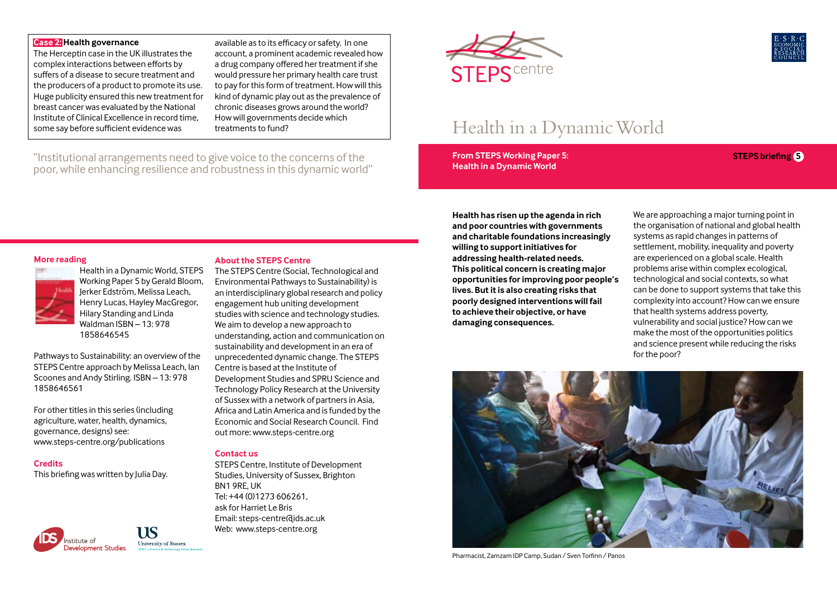# **Case 2: Health governance**

The Herceptin case in the UK illustrates the complex interactions between efforts by suffers of a disease to secure treatment and the producers of a product to promote its use. Huge publicity ensured this new treatment for breast cancer was evaluated by the National Institute of Clinical Excellence in record time, some say before sufficient evidence was

available as to its efficacy or safety. In one account, a prominent academic revealed how a drug company offered her treatment if she would pressure her primary health care trust to pay for this form of treatment. How will this kind of dynamic play out as the prevalence of chronic diseases grows around the world? How will governments decide which treatments to fund?

"Institutional arrangements need to give voice to the concerns of the poor, while enhancing resilience and robustness in this dynamic world"



# Health in a Dynamic World

**From STEPS Working Paper 5: Health in a Dynamic World**

**STEPS briefing 5**

# **More reading**



Health in a Dynamic World, STEPS Working Paper 5 by Gerald Bloom, Jerker Edström, Melissa Leach, Henry Lucas, Hayley MacGregor, Hilary Standing and Linda Waldman ISBN – 13: 978 1858646545

Pathways to Sustainability: an overview of the STEPS Centre approach by Melissa Leach, Ian Scoones and Andy Stirling. ISBN – 13: 978 1858646561

For other titles in this series (including agriculture, water, health, dynamics, governance, designs) see: www.steps-centre.org/publications

# **Credits**

This briefing was written by Julia Day.



# **About the STEPS Centre**

The STEPS Centre (Social, Technological and Environmental Pathways to Sustainability) is an interdisciplinary global research and policy engagement hub uniting development studies with science and technology studies. We aim to develop a new approach to understanding, action and communication on sustainability and development in an era of unprecedented dynamic change. The STEPS Centre is based at the Institute of Development Studies and SPRU Science and Technology Policy Research at the University of Sussex with a network of partners in Asia, Africa and Latin America and is funded by the Economic and Social Research Council. Find out more: www.steps-centre.org

### **Contact us**

STEPS Centre, Institute of Development Studies, University of Sussex, Brighton BN1 9RE, UK Tel: +44 (0)1273 606261, ask for Harriet Le Bris Email: steps-centre@ids.ac.uk Web: www.steps-centre.org

**Health has risen up the agenda in rich and poor countries with governments and charitable foundations increasingly willing to support initiatives for addressing health-related needs. This political concern is creating major opportunities for improving poor people's lives. But it is also creating risks that poorly designed interventions will fail to achieve their objective, or have damaging consequences.**

We are approaching a major turning point in the organisation of national and global health systems as rapid changes in patterns of settlement, mobility, inequality and poverty are experienced on a global scale. Health problems arise within complex ecological, technological and social contexts, so what can be done to support systems that take this complexity into account? How can we ensure that health systems address poverty, vulnerability and social justice? How can we make the most of the opportunities politics and science present while reducing the risks for the poor?



Pharmacist, Zamzam IDP Camp, Sudan / Sven Torfinn / Panos